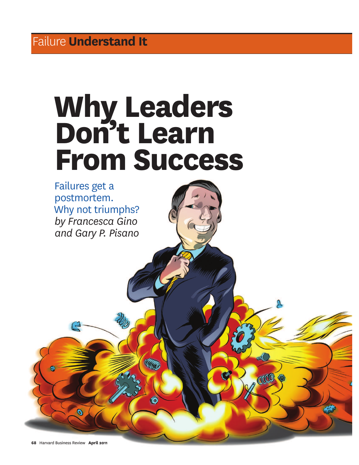# **Why Leaders Don't Learn From Success**

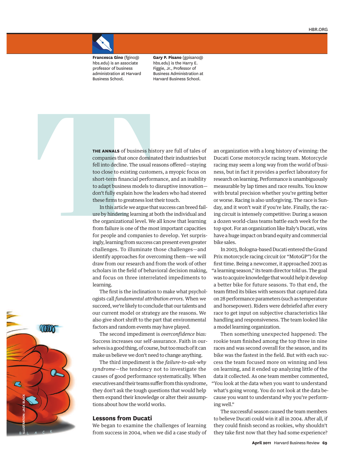

**Francesca Gino** (fgino@ hbs.edu) is an associate professor of business administration at Harvard Business School.

**Gary P. Pisano** (gpisano@ hbs.edu) is the Harry E. Figgie, Jr., Professor of Business Administration at Harvard Business School.

process or summarist and ministration at Harvard<br>Business School.<br>THE ANNALS of business his<br>companies that once domin<br>fell into decline. The usual r<br>too close to existing custor<br>short-term financial perfor<br>to adapt busine **THE ANNALS** of business history are full of tales of companies that once dominated their industries but fell into decline. The usual reasons offered-staying too close to existing customers, a myopic focus on short-term financial performance, and an inability to adapt business models to disruptive innovation don't fully explain how the leaders who had steered these firms to greatness lost their touch.

In this article we argue that success can breed failure by hindering learning at both the individual and the organizational level. We all know that learning from failure is one of the most important capacities for people and companies to develop. Yet surprisingly, learning from success can present even greater challenges. To illuminate those challenges—and identify approaches for overcoming them—we will draw from our research and from the work of other scholars in the field of behavioral decision making, and focus on three interrelated impediments to learning.

The first is the inclination to make what psychologists call fundamental attribution errors. When we succeed, we're likely to conclude that our talents and our current model or strategy are the reasons. We also give short shrift to the part that environmental factors and random events may have played.

The second impediment is overconfidence bias: Success increases our self-assurance. Faith in ourselves is a good thing, of course, but too much of it can make us believe we don't need to change anything.

The third impediment is the failure-to-ask-why syndrome—the tendency not to investigate the causes of good performance systematically. When executives and their teams suffer from this syndrome, they don't ask the tough questions that would help them expand their knowledge or alter their assumptions about how the world works.

#### **Lessons from Ducati**

We began to examine the challenges of learning from success in 2004, when we did a case study of an organization with a long history of winning: the Ducati Corse motorcycle racing team. Motorcycle racing may seem a long way from the world of business, but in fact it provides a perfect laboratory for research on learning. Performance is unambiguously measurable by lap times and race results. You know with brutal precision whether you're getting better or worse. Racing is also unforgiving. The race is Sunday, and it won't wait if you're late. Finally, the racing circuit is intensely competitive: During a season a dozen world-class teams battle each week for the top spot. For an organization like Italy's Ducati, wins have a huge impact on brand equity and commercial bike sales.

In 2003, Bologna-based Ducati entered the Grand Prix motorcycle racing circuit (or "MotoGP") for the first time. Being a newcomer, it approached 2003 as "a learning season," its team director told us. The goal was to acquire knowledge that would help it develop a better bike for future seasons. To that end, the team fitted its bikes with sensors that captured data on 28 performance parameters (such as temperature and horsepower). Riders were debriefed after every race to get input on subjective characteristics like handling and responsiveness. The team looked like a model learning organization.

Then something unexpected happened: The rookie team finished among the top three in nine races and was second overall for the season, and its bike was the fastest in the field. But with each success the team focused more on winning and less on learning, and it ended up analyzing little of the data it collected. As one team member commented, "You look at the data when you want to understand what's going wrong. You do not look at the data because you want to understand why you're performing well."

The successful season caused the team members to believe Ducati could win it all in 2004. After all, if they could finish second as rookies, why shouldn't they take first now that they had some experience?

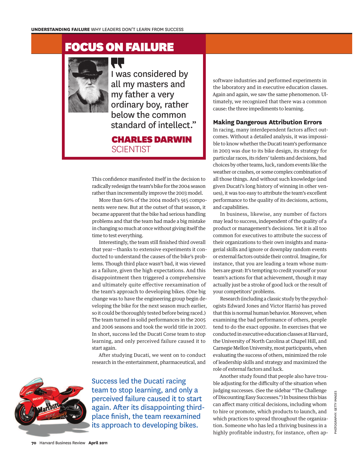## FOCUS ON FAILURE



I was considered by all my masters and my father a very ordinary boy, rather below the common standard of intellect."

CHARLES DARWIN **SCIENTIST** 

This confidence manifested itself in the decision to radically redesign the team's bike for the 2004 season rather than incrementally improve the 2003 model.

More than 60% of the 2004 model's 915 components were new. But at the outset of that season, it became apparent that the bike had serious handling problems and that the team had made a big mistake in changing so much at once without giving itself the time to test everything.

Interestingly, the team still finished third overall that year—thanks to extensive experiments it conducted to understand the causes of the bike's problems. Though third place wasn't bad, it was viewed as a failure, given the high expectations. And this disappointment then triggered a comprehensive and ultimately quite effective reexamination of the team's approach to developing bikes. (One big change was to have the engineering group begin developing the bike for the next season much earlier, so it could be thoroughly tested before being raced.) The team turned in solid performances in the 2005 and 2006 seasons and took the world title in 2007. In short, success led the Ducati Corse team to stop learning, and only perceived failure caused it to start again.

After studying Ducati, we went on to conduct research in the entertainment, pharmaceutical, and



Success led the Ducati racing team to stop learning, and only a perceived failure caused it to start again. After its disappointing thirdplace finish, the team reexamined its approach to developing bikes.

software industries and performed experiments in the laboratory and in executive education classes. Again and again, we saw the same phenomenon. Ultimately, we recognized that there was a common cause: the three impediments to learning.

#### **Making Dangerous Attribution Errors**

In racing, many interdependent factors affect outcomes. Without a detailed analysis, it was impossible to know whether the Ducati team's performance in 2003 was due to its bike design, its strategy for particular races, its riders' talents and decisions, bad choices by other teams, luck, random events like the weather or crashes, or some complex combination of all those things. And without such knowledge (and given Ducati's long history of winning in other venues), it was too easy to attribute the team's excellent performance to the quality of its decisions, actions, and capabilities.

In business, likewise, any number of factors may lead to success, independent of the quality of a product or management's decisions. Yet it is all too common for executives to attribute the success of their organizations to their own insights and managerial skills and ignore or downplay random events or external factors outside their control. Imagine, for instance, that you are leading a team whose numbers are great: It's tempting to credit yourself or your team's actions for that achievement, though it may actually just be a stroke of good luck or the result of your competitors' problems.

Research (including a classic study by the psychologists Edward Jones and Victor Harris) has proved that this is normal human behavior. Moreover, when examining the bad performance of others, people tend to do the exact opposite. In exercises that we conducted in executive education classes at Harvard, the University of North Carolina at Chapel Hill, and Carnegie Mellon University, most participants, when evaluating the success of others, minimized the role of leadership skills and strategy and maximized the role of external factors and luck.

Another study found that people also have trouble adjusting for the difficulty of the situation when judging successes. (See the sidebar "The Challenge of Discounting Easy Successes.") In business this bias can affect many critical decisions, including whom to hire or promote, which products to launch, and which practices to spread throughout the organization. Someone who has led a thriving business in a highly profitable industry, for instance, often ap-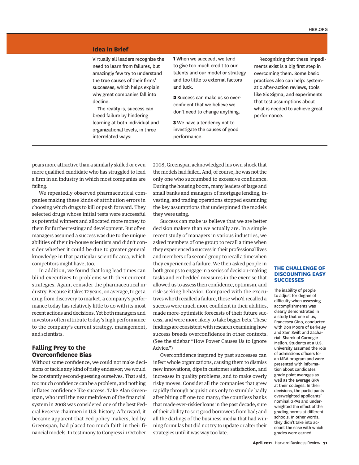#### **Idea in Brief**

Virtually all leaders recognize the need to learn from failures, but amazingly few try to understand the true causes of their firms' successes, which helps explain why great companies fall into decline.

The reality is, success can breed failure by hindering learning at both individual and organizational levels, in three interrelated ways:

1 When we succeed, we tend to give too much credit to our talents and our model or strategy and too little to external factors and luck.

2 Success can make us so overconfident that we believe we don't need to change anything.

**3** We have a tendency not to investigate the causes of good performance.

Recognizing that these impediments exist is a big first step in overcoming them. Some basic practices also can help: systematic after-action reviews, tools like Six Sigma, and experiments that test assumptions about what is needed to achieve great performance.

pears more attractive than a similarly skilled or even more qualified candidate who has struggled to lead a firm in an industry in which most companies are failing.

We repeatedly observed pharmaceutical companies making these kinds of attribution errors in choosing which drugs to kill or push forward. They selected drugs whose initial tests were successful as potential winners and allocated more money to them for further testing and development. But often managers assumed a success was due to the unique abilities of their in-house scientists and didn't consider whether it could be due to greater general knowledge in that particular scientific area, which competitors might have, too.

In addition, we found that long lead times can blind executives to problems with their current strategies. Again, consider the pharmaceutical industry. Because it takes 12 years, on average, to get a drug from discovery to market, a company's performance today has relatively little to do with its most recent actions and decisions. Yet both managers and investors often attribute today's high performance to the company's current strategy, management, and scientists.

#### **Falling Prey to the Overconfidence Bias**

Without some confidence, we could not make decisions or tackle any kind of risky endeavor; we would be constantly second-guessing ourselves. That said, too much confidence can be a problem, and nothing inflates confidence like success. Take Alan Greenspan, who until the near meltdown of the financial system in 2008 was considered one of the best Federal Reserve chairmen in U.S. history. Afterward, it became apparent that Fed policy makers, led by Greenspan, had placed too much faith in their financial models. In testimony to Congress in October

2008, Greenspan acknowledged his own shock that the models had failed. And, of course, he was not the only one who succumbed to excessive confidence. During the housing boom, many leaders of large and small banks and managers of mortgage lending, investing, and trading operations stopped examining the key assumptions that underpinned the models they were using.

Success can make us believe that we are better decision makers than we actually are. In a simple recent study of managers in various industries, we asked members of one group to recall a time when they experienced a success in their professional lives and members of a second group to recall a time when they experienced a failure. We then asked people in both groups to engage in a series of decision-making tasks and embedded measures in the exercise that allowed us to assess their confidence, optimism, and risk-seeking behavior. Compared with the executives who'd recalled a failure, those who'd recalled a success were much more confident in their abilities, made more-optimistic forecasts of their future success, and were more likely to take bigger bets. These findings are consistent with research examining how success breeds overconfidence in other contexts. (See the sidebar "How Power Causes Us to Ignore Advice.")

Overconfidence inspired by past successes can infect whole organizations, causing them to dismiss new innovations, dips in customer satisfaction, and increases in quality problems, and to make overly risky moves. Consider all the companies that grew rapidly through acquisitions only to stumble badly after biting off one too many; the countless banks that made ever-riskier loans in the past decade, sure of their ability to sort good borrowers from bad; and all the darlings of the business media that had winning formulas but did not try to update or alter their strategies until it was way too late.

#### **THE CHALLENGE OF DISCOUNTING EASY SUCCESSES**

The inability of people to adjust for degree of difficulty when assessing accomplishments was clearly demonstrated in a study that one of us, Francesca Gino, conducted with Don Moore of Berkeley and Sam Swift and Zachariah Sharek of Carnegie Mellon. Students at a U.S. university assumed the role of admissions officers for an MBA program and were presented with information about candidates' grade point averages as well as the average GPA at their colleges. In their decisions, the participants overweighted applicants' nominal GPAs and underweighted the effect of the grading norms at different schools. In other words, they didn't take into account the ease with which grades were earned.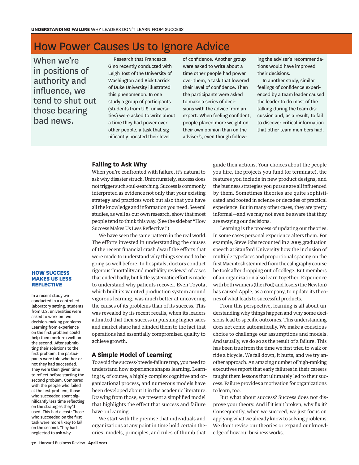## How Power Causes Us to Ignore Advice

When we're in positions of authority and influence, we tend to shut out those bearing bad news.

Research that Francesca Gino recently conducted with Leigh Tost of the University of Washington and Rick Larrick of Duke University illustrated this phenomenon. In one study a group of participants (students from U.S. universities) were asked to write about a time they had power over other people, a task that significantly boosted their level

of confidence. Another group were asked to write about a time other people had power over them, a task that lowered their level of confidence. Then the participants were asked to make a series of decisions with the advice from an expert. When feeling confident, people placed more weight on their own opinion than on the adviser's, even though follow-

ing the adviser's recommendations would have improved their decisions.

In another study, similar feelings of confidence experienced by a team leader caused the leader to do most of the talking during the team discussion and, as a result, to fail to discover critical information that other team members had.

#### **Failing to Ask Why**

When you're confronted with failure, it's natural to ask why disaster struck. Unfortunately, success does not trigger such soul-searching. Success is commonly interpreted as evidence not only that your existing strategy and practices work but also that you have all the knowledge and information you need. Several studies, as well as our own research, show that most people tend to think this way. (See the sidebar "How Success Makes Us Less Reflective.")

We have seen the same pattern in the real world. The efforts invested in understanding the causes of the recent financial crash dwarf the efforts that were made to understand why things seemed to be going so well before. In hospitals, doctors conduct rigorous "mortality and morbidity reviews" of cases that ended badly, but little systematic effort is made to understand why patients recover. Even Toyota, which built its vaunted production system around vigorous learning, was much better at uncovering the causes of its problems than of its success. This was revealed by its recent recalls, when its leaders admitted that their success in pursuing higher sales and market share had blinded them to the fact that operations had essentially compromised quality to achieve growth.

#### **A Simple Model of Learning**

To avoid the success-breeds-failure trap, you need to understand how experience shapes learning. Learning is, of course, a highly complex cognitive and organizational process, and numerous models have been developed about it in the academic literature. Drawing from those, we present a simplified model that highlights the effect that success and failure have on learning.

We start with the premise that individuals and organizations at any point in time hold certain theories, models, principles, and rules of thumb that

guide their actions. Your choices about the people you hire, the projects you fund (or terminate), the features you include in new product designs, and the business strategies you pursue are all influenced by them. Sometimes theories are quite sophisticated and rooted in science or decades of practical experience. But in many other cases, they are pretty informal—and we may not even be aware that they are swaying our decisions.

Learning is the process of updating our theories. In some cases personal experience alters them. For example, Steve Jobs recounted in a 2005 graduation speech at Stanford University how the inclusion of multiple typefaces and proportional spacing on the first Macintosh stemmed from the calligraphy course he took after dropping out of college. But members of an organization also learn together. Experience with both winners (the iPod) and losers (the Newton) has caused Apple, as a company, to update its theories of what leads to successful products.

From this perspective, learning is all about understanding why things happen and why some decisions lead to specific outcomes. This understanding does not come automatically. We make a conscious choice to challenge our assumptions and models. And usually, we do so as the result of a failure. This has been true from the time we first tried to walk or ride a bicycle. We fall down, it hurts, and we try another approach. An amazing number of high-ranking executives report that early failures in their careers taught them lessons that ultimately led to their success. Failure provides a motivation for organizations to learn, too.

But what about success? Success does not disprove your theory. And if it isn't broken, why fix it? Consequently, when we succeed, we just focus on applying what we already know to solving problems. We don't revise our theories or expand our knowledge of how our business works.

#### **HOW SUCCESS MAKES US LESS REFLECTIVE**

In a recent study we conducted in a controlled laboratory setting, students from U.S. universities were asked to work on two decision-making problems. Learning from experience on the first problem could help them perform well on the second. After submitting their solutions to the first problem, the participants were told whether or not they had succeeded. They were then given time to reflect before starting the second problem. Compared with the people who failed at the first problem, those who succeeded spent significantly less time reflecting on the strategies they'd used. This had a cost: Those who succeeded on the first task were more likely to fail on the second. They had neglected to ask why.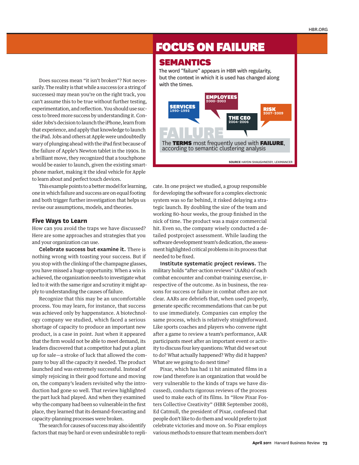## FOCUS ON FAILURE

### SEMANTICS

The word "failure" appears in HBR with regularity, but the context in which it is used has changed along with the times.



Does success mean "it isn't broken"? Not necessarily. The reality is that while a success (or a string of successes) may mean you're on the right track, you can't assume this to be true without further testing, experimentation, and reflection. You should use success to breed more success by understanding it. Consider Jobs's decision to launch the iPhone, learn from that experience, and apply that knowledge to launch the iPad. Jobs and others at Apple were undoubtedly wary of plunging ahead with the iPad first because of the failure of Apple's Newton tablet in the 1990s. In a brilliant move, they recognized that a touchphone would be easier to launch, given the existing smartphone market, making it the ideal vehicle for Apple to learn about and perfect touch devices.

This example points to a better model for learning, one in which failure and success are on equal footing and both trigger further investigation that helps us revise our assumptions, models, and theories.

#### **Five Ways to Learn**

How can you avoid the traps we have discussed? Here are some approaches and strategies that you and your organization can use.

**Celebrate success but examine it.** There is nothing wrong with toasting your success. But if you stop with the clinking of the champagne glasses, you have missed a huge opportunity. When a win is achieved, the organization needs to investigate what led to it with the same rigor and scrutiny it might apply to understanding the causes of failure.

Recognize that this may be an uncomfortable process. You may learn, for instance, that success was achieved only by happenstance. A biotechnology company we studied, which faced a serious shortage of capacity to produce an important new product, is a case in point. Just when it appeared that the firm would not be able to meet demand, its leaders discovered that a competitor had put a plant up for sale—a stroke of luck that allowed the company to buy all the capacity it needed. The product launched and was extremely successful. Instead of simply rejoicing in their good fortune and moving on, the company's leaders revisited why the introduction had gone so well. That review highlighted the part luck had played. And when they examined why the company had been so vulnerable in the first place, they learned that its demand-forecasting and capacity-planning processes were broken.

The search for causes of success may also identify factors that may be hard or even undesirable to replicate. In one project we studied, a group responsible for developing the software for a complex electronic system was so far behind, it risked delaying a strategic launch. By doubling the size of the team and working 80-hour weeks, the group finished in the nick of time. The product was a major commercial hit. Even so, the company wisely conducted a detailed postproject assessment. While lauding the software development team's dedication, the assessment highlighted critical problems in its process that needed to be fixed.

**Institute systematic project reviews.** The military holds "after-action reviews" (AARs) of each combat encounter and combat-training exercise, irrespective of the outcome. As in business, the reasons for success or failure in combat often are not clear. AARs are debriefs that, when used properly, generate specific recommendations that can be put to use immediately. Companies can employ the same process, which is relatively straightforward. Like sports coaches and players who convene right after a game to review a team's performance, AAR participants meet after an important event or activity to discuss four key questions: What did we set out to do? What actually happened? Why did it happen? What are we going to do next time?

Pixar, which has had 11 hit animated films in a row (and therefore is an organization that would be very vulnerable to the kinds of traps we have discussed), conducts rigorous reviews of the process used to make each of its films. In "How Pixar Fosters Collective Creativity" (HBR September 2008), Ed Catmull, the president of Pixar, confessed that people don't like to do them and would prefer to just celebrate victories and move on. So Pixar employs various methods to ensure that team members don't